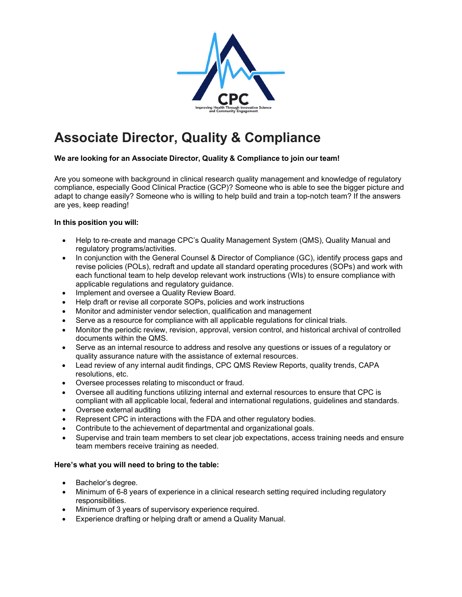

# **Associate Director, Quality & Compliance**

## **We are looking for an Associate Director, Quality & Compliance to join our team!**

Are you someone with background in clinical research quality management and knowledge of regulatory compliance, especially Good Clinical Practice (GCP)? Someone who is able to see the bigger picture and adapt to change easily? Someone who is willing to help build and train a top-notch team? If the answers are yes, keep reading!

## **In this position you will:**

- Help to re-create and manage CPC's Quality Management System (QMS), Quality Manual and regulatory programs/activities.
- In conjunction with the General Counsel & Director of Compliance (GC), identify process gaps and revise policies (POLs), redraft and update all standard operating procedures (SOPs) and work with each functional team to help develop relevant work instructions (WIs) to ensure compliance with applicable regulations and regulatory guidance.
- Implement and oversee a Quality Review Board.
- Help draft or revise all corporate SOPs, policies and work instructions
- Monitor and administer vendor selection, qualification and management
- Serve as a resource for compliance with all applicable regulations for clinical trials.
- Monitor the periodic review, revision, approval, version control, and historical archival of controlled documents within the QMS.
- Serve as an internal resource to address and resolve any questions or issues of a regulatory or quality assurance nature with the assistance of external resources.
- Lead review of any internal audit findings, CPC QMS Review Reports, quality trends, CAPA resolutions, etc.
- Oversee processes relating to misconduct or fraud.
- Oversee all auditing functions utilizing internal and external resources to ensure that CPC is compliant with all applicable local, federal and international regulations, guidelines and standards.
- Oversee external auditing
- Represent CPC in interactions with the FDA and other regulatory bodies.
- Contribute to the achievement of departmental and organizational goals.
- Supervise and train team members to set clear job expectations, access training needs and ensure team members receive training as needed.

#### **Here's what you will need to bring to the table:**

- Bachelor's degree.
- Minimum of 6-8 years of experience in a clinical research setting required including regulatory responsibilities.
- Minimum of 3 years of supervisory experience required.
- Experience drafting or helping draft or amend a Quality Manual.